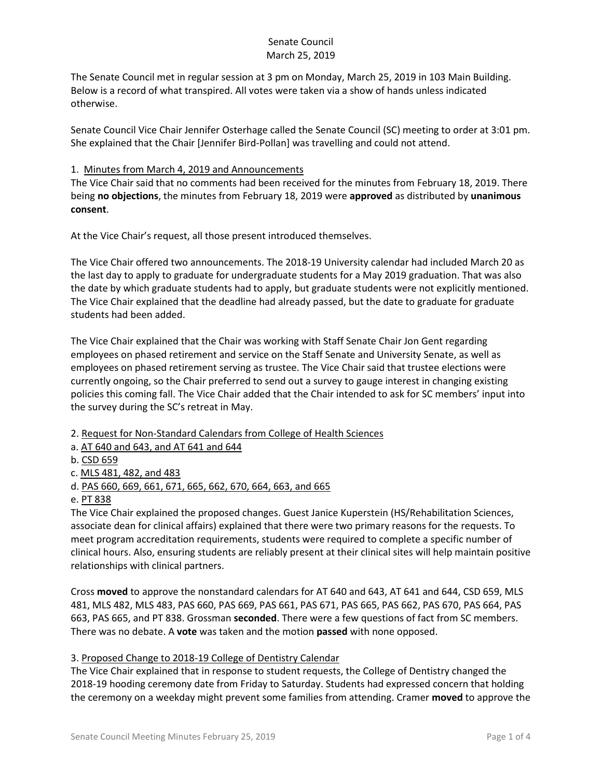# Senate Council March 25, 2019

The Senate Council met in regular session at 3 pm on Monday, March 25, 2019 in 103 Main Building. Below is a record of what transpired. All votes were taken via a show of hands unless indicated otherwise.

Senate Council Vice Chair Jennifer Osterhage called the Senate Council (SC) meeting to order at 3:01 pm. She explained that the Chair [Jennifer Bird-Pollan] was travelling and could not attend.

# 1. Minutes from March 4, 2019 and Announcements

The Vice Chair said that no comments had been received for the minutes from February 18, 2019. There being **no objections**, the minutes from February 18, 2019 were **approved** as distributed by **unanimous consent**.

At the Vice Chair's request, all those present introduced themselves.

The Vice Chair offered two announcements. The 2018-19 University calendar had included March 20 as the last day to apply to graduate for undergraduate students for a May 2019 graduation. That was also the date by which graduate students had to apply, but graduate students were not explicitly mentioned. The Vice Chair explained that the deadline had already passed, but the date to graduate for graduate students had been added.

The Vice Chair explained that the Chair was working with Staff Senate Chair Jon Gent regarding employees on phased retirement and service on the Staff Senate and University Senate, as well as employees on phased retirement serving as trustee. The Vice Chair said that trustee elections were currently ongoing, so the Chair preferred to send out a survey to gauge interest in changing existing policies this coming fall. The Vice Chair added that the Chair intended to ask for SC members' input into the survey during the SC's retreat in May.

2. Request for Non-Standard Calendars from College of Health Sciences

a. AT 640 and 643, and AT 641 and 644

b. CSD 659

c. MLS 481, 482, and 483

d. PAS 660, 669, 661, 671, 665, 662, 670, 664, 663, and 665

e. PT 838

The Vice Chair explained the proposed changes. Guest Janice Kuperstein (HS/Rehabilitation Sciences, associate dean for clinical affairs) explained that there were two primary reasons for the requests. To meet program accreditation requirements, students were required to complete a specific number of clinical hours. Also, ensuring students are reliably present at their clinical sites will help maintain positive relationships with clinical partners.

Cross **moved** to approve the nonstandard calendars for AT 640 and 643, AT 641 and 644, CSD 659, MLS 481, MLS 482, MLS 483, PAS 660, PAS 669, PAS 661, PAS 671, PAS 665, PAS 662, PAS 670, PAS 664, PAS 663, PAS 665, and PT 838. Grossman **seconded**. There were a few questions of fact from SC members. There was no debate. A **vote** was taken and the motion **passed** with none opposed.

## 3. Proposed Change to 2018-19 College of Dentistry Calendar

The Vice Chair explained that in response to student requests, the College of Dentistry changed the 2018-19 hooding ceremony date from Friday to Saturday. Students had expressed concern that holding the ceremony on a weekday might prevent some families from attending. Cramer **moved** to approve the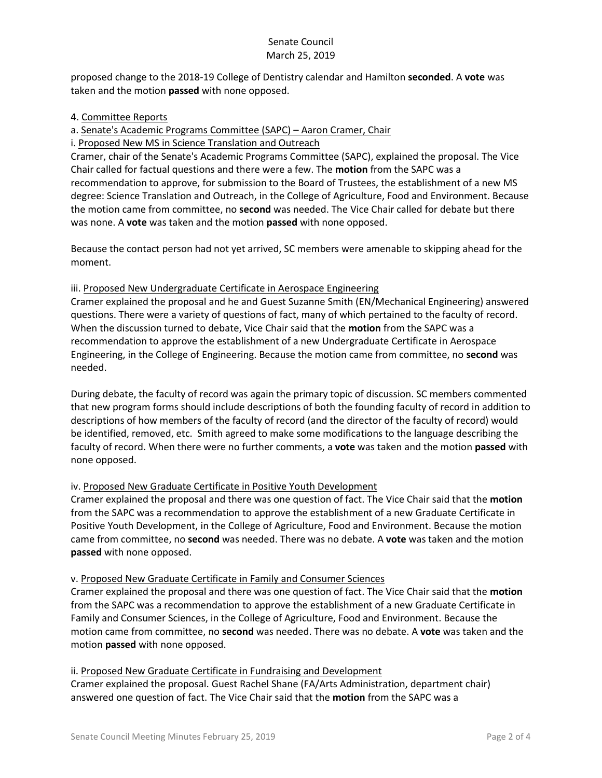# Senate Council March 25, 2019

proposed change to the 2018-19 College of Dentistry calendar and Hamilton **seconded**. A **vote** was taken and the motion **passed** with none opposed.

## 4. Committee Reports

a. Senate's Academic Programs Committee (SAPC) – Aaron Cramer, Chair

i. Proposed New MS in Science Translation and Outreach

Cramer, chair of the Senate's Academic Programs Committee (SAPC), explained the proposal. The Vice Chair called for factual questions and there were a few. The **motion** from the SAPC was a recommendation to approve, for submission to the Board of Trustees, the establishment of a new MS degree: Science Translation and Outreach, in the College of Agriculture, Food and Environment. Because the motion came from committee, no **second** was needed. The Vice Chair called for debate but there was none. A **vote** was taken and the motion **passed** with none opposed.

Because the contact person had not yet arrived, SC members were amenable to skipping ahead for the moment.

## iii. Proposed New Undergraduate Certificate in Aerospace Engineering

Cramer explained the proposal and he and Guest Suzanne Smith (EN/Mechanical Engineering) answered questions. There were a variety of questions of fact, many of which pertained to the faculty of record. When the discussion turned to debate, Vice Chair said that the **motion** from the SAPC was a recommendation to approve the establishment of a new Undergraduate Certificate in Aerospace Engineering, in the College of Engineering. Because the motion came from committee, no **second** was needed.

During debate, the faculty of record was again the primary topic of discussion. SC members commented that new program forms should include descriptions of both the founding faculty of record in addition to descriptions of how members of the faculty of record (and the director of the faculty of record) would be identified, removed, etc. Smith agreed to make some modifications to the language describing the faculty of record. When there were no further comments, a **vote** was taken and the motion **passed** with none opposed.

## iv. Proposed New Graduate Certificate in Positive Youth Development

Cramer explained the proposal and there was one question of fact. The Vice Chair said that the **motion** from the SAPC was a recommendation to approve the establishment of a new Graduate Certificate in Positive Youth Development, in the College of Agriculture, Food and Environment. Because the motion came from committee, no **second** was needed. There was no debate. A **vote** was taken and the motion **passed** with none opposed.

#### v. Proposed New Graduate Certificate in Family and Consumer Sciences

Cramer explained the proposal and there was one question of fact. The Vice Chair said that the **motion** from the SAPC was a recommendation to approve the establishment of a new Graduate Certificate in Family and Consumer Sciences, in the College of Agriculture, Food and Environment. Because the motion came from committee, no **second** was needed. There was no debate. A **vote** was taken and the motion **passed** with none opposed.

ii. Proposed New Graduate Certificate in Fundraising and Development Cramer explained the proposal. Guest Rachel Shane (FA/Arts Administration, department chair) answered one question of fact. The Vice Chair said that the **motion** from the SAPC was a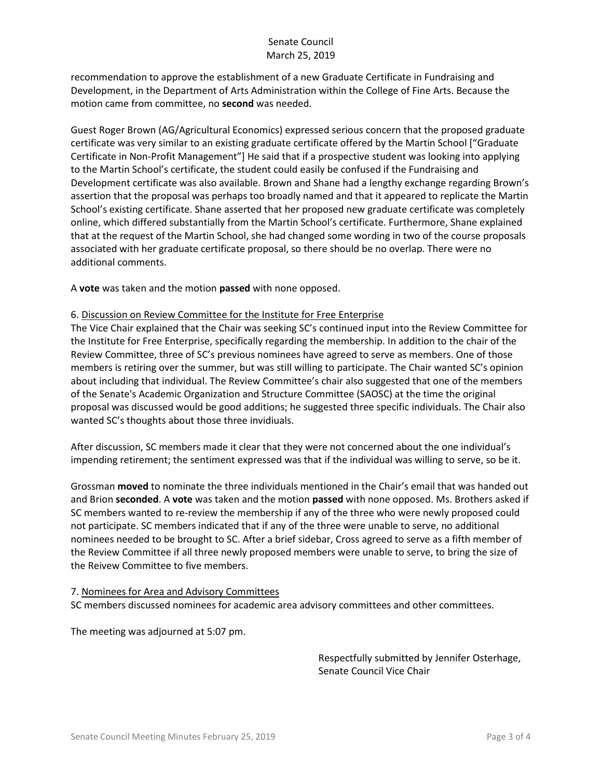recommendation to approve the establishment of a new Graduate Certificate in Fundraising and Development, in the Department of Arts Administration within the College of Fine Arts. Because the motion came from committee, no **second** was needed.

Guest Roger Brown (AG/Agricultural Economics) expressed serious concern that the proposed graduate certificate was very similar to an existing graduate certificate offered by the Martin School ["Graduate Certificate in Non-Profit Management"] He said that if a prospective student was looking into applying to the Martin School's certificate, the student could easily be confused if the Fundraising and Development certificate was also available. Brown and Shane had a lengthy exchange regarding Brown's assertion that the proposal was perhaps too broadly named and that it appeared to replicate the Martin School's existing certificate. Shane asserted that her proposed new graduate certificate was completely online, which differed substantially from the Martin School's certificate. Furthermore, Shane explained that at the request of the Martin School, she had changed some wording in two of the course proposals associated with her graduate certificate proposal, so there should be no overlap. There were no additional comments.

A **vote** was taken and the motion **passed** with none opposed.

#### 6. Discussion on Review Committee for the Institute for Free Enterprise

The Vice Chair explained that the Chair was seeking SC's continued input into the Review Committee for the Institute for Free Enterprise, specifically regarding the membership. In addition to the chair of the Review Committee, three of SC's previous nominees have agreed to serve as members. One of those members is retiring over the summer, but was still willing to participate. The Chair wanted SC's opinion about including that individual. The Review Committee's chair also suggested that one of the members of the Senate's Academic Organization and Structure Committee (SAOSC) at the time the original proposal was discussed would be good additions; he suggested three specific individuals. The Chair also wanted SC's thoughts about those three invidiuals.

After discussion, SC members made it clear that they were not concerned about the one individual's impending retirement; the sentiment expressed was that if the individual was willing to serve, so be it.

Grossman **moved** to nominate the three individuals mentioned in the Chair's email that was handed out and Brion **seconded**. A **vote** was taken and the motion **passed** with none opposed. Ms. Brothers asked if SC members wanted to re-review the membership if any of the three who were newly proposed could not participate. SC members indicated that if any of the three were unable to serve, no additional nominees needed to be brought to SC. After a brief sidebar, Cross agreed to serve as a fifth member of the Review Committee if all three newly proposed members were unable to serve, to bring the size of the Reivew Committee to five members.

#### 7. Nominees for Area and Advisory Committees

SC members discussed nominees for academic area advisory committees and other committees.

The meeting was adjourned at 5:07 pm.

Respectfully submitted by Jennifer Osterhage, Senate Council Vice Chair